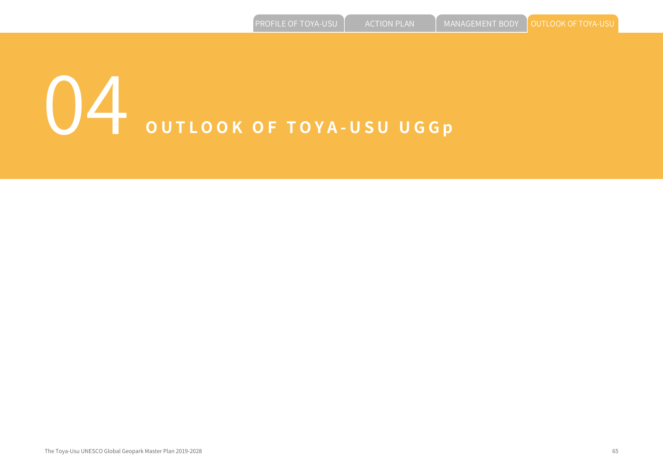# 04 **OUTLOOK OF TOYA-USU UGGp**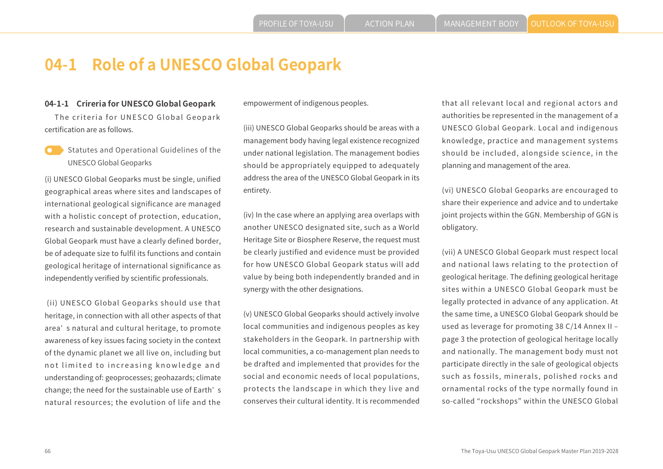# **04-1 Role of a UNESCO Global Geopark**

#### **04-1-1 Crireria for UNESCO Global Geopark**

 The criteria for UNESCO Global Geopark certification are as follows.

Statutes and Operational Guidelines of the UNESCO Global Geoparks

(i) UNESCO Global Geoparks must be single, unified geographical areas where sites and landscapes of international geological significance are managed with a holistic concept of protection, education, research and sustainable development. A UNESCO Global Geopark must have a clearly defined border, be of adequate size to fulfil its functions and contain geological heritage of international significance as independently verified by scientific professionals.

 (ii) UNESCO Global Geoparks should use that heritage, in connection with all other aspects of that area' s natural and cultural heritage, to promote awareness of key issues facing society in the context of the dynamic planet we all live on, including but not limited to increasing knowledge and understanding of: geoprocesses; geohazards; climate change; the need for the sustainable use of Earth' s natural resources; the evolution of life and the

empowerment of indigenous peoples.

(iii) UNESCO Global Geoparks should be areas with a management body having legal existence recognized under national legislation. The management bodies should be appropriately equipped to adequately address the area of the UNESCO Global Geopark in its entirety.

(iv) In the case where an applying area overlaps with another UNESCO designated site, such as a World Heritage Site or Biosphere Reserve, the request must be clearly justified and evidence must be provided for how UNESCO Global Geopark status will add value by being both independently branded and in synergy with the other designations.

(v) UNESCO Global Geoparks should actively involve local communities and indigenous peoples as key stakeholders in the Geopark. In partnership with local communities, a co-management plan needs to be drafted and implemented that provides for the social and economic needs of local populations, protects the landscape in which they live and conserves their cultural identity. It is recommended that all relevant local and regional actors and authorities be represented in the management of a UNESCO Global Geopark. Local and indigenous knowledge, practice and management systems should be included, alongside science, in the planning and management of the area.

(vi) UNESCO Global Geoparks are encouraged to share their experience and advice and to undertake joint projects within the GGN. Membership of GGN is obligatory.

(vii) A UNESCO Global Geopark must respect local and national laws relating to the protection of geological heritage. The defining geological heritage sites within a UNESCO Global Geopark must be legally protected in advance of any application. At the same time, a UNESCO Global Geopark should be used as leverage for promoting 38 C/14 Annex II page 3 the protection of geological heritage locally and nationally. The management body must not participate directly in the sale of geological objects such as fossils, minerals, polished rocks and ornamental rocks of the type normally found in so-called "rockshops" within the UNESCO Global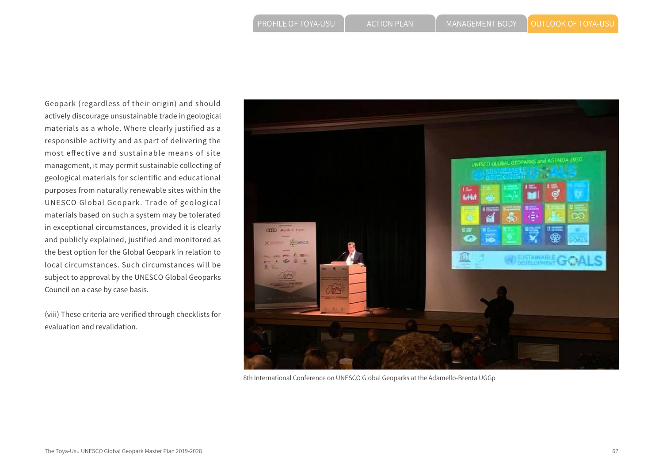Geopark (regardless of their origin) and should actively discourage unsustainable trade in geological materials as a whole. Where clearly justified as a responsible activity and as part of delivering the most effective and sustainable means of site management, it may permit sustainable collecting of geological materials for scientific and educational purposes from naturally renewable sites within the UNESCO Global Geopark. Trade of geological materials based on such a system may be tolerated in exceptional circumstances, provided it is clearly and publicly explained, justified and monitored as the best option for the Global Geopark in relation to local circumstances. Such circumstances will be subject to approval by the UNESCO Global Geoparks Council on a case by case basis.

(viii) These criteria are verified through checklists for evaluation and revalidation.



8th International Conference on UNESCO Global Geoparks at the Adamello-Brenta UGGp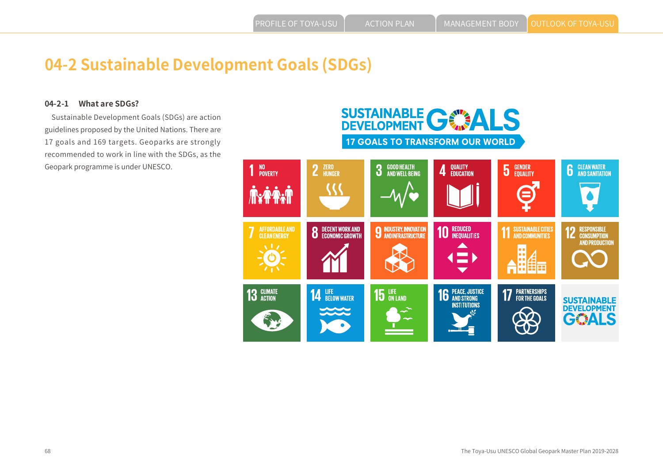# **04-2 Sustainable Development Goals (SDGs)**

#### **04-2-1 What are SDGs?**

 Sustainable Development Goals (SDGs) are action guidelines proposed by the United Nations. There are 17 goals and 169 targets. Geoparks are strongly recommended to work in line with the SDGs, as the Geopark programme is under UNESCO.

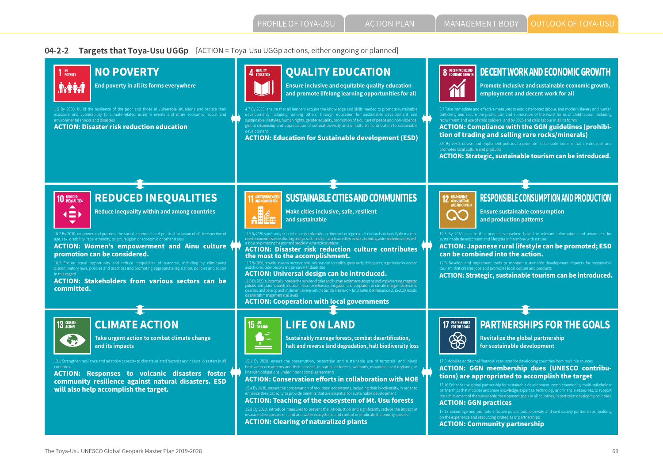#### **04-2-2 Targets that Toya-Usu UGGp** [ACTION = Toya-Usu UGGp actions, either ongoing or planned]

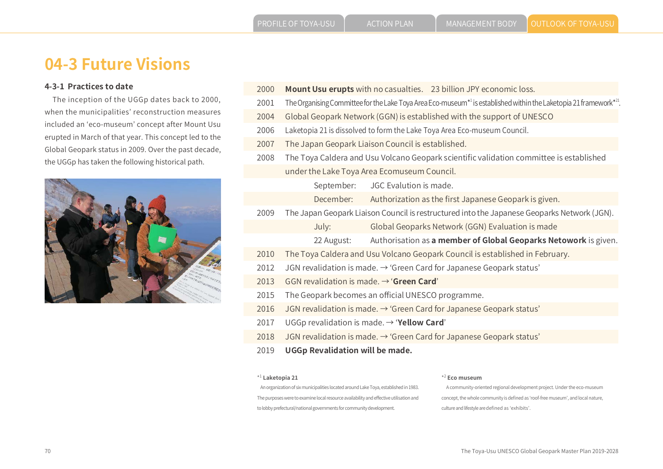# **04-3 Future Visions**

#### **4-3-1 Practices to date**

 The inception of the UGGp dates back to 2000, when the municipalities' reconstruction measures included an 'eco-museum' concept after Mount Usu erupted in March of that year. This concept led to the Global Geopark status in 2009. Over the past decade, the UGGp has taken the following historical path.



- 2000 **Mount Usu erupts** with no casualties. 23 billion JPY economic loss.
- 2001 The Organising Committee for the Lake Toya Area Eco-museum\*' is established within the Laketopia 21 framework\*<sup>4</sup>.
- 2004 Global Geopark Network (GGN) is established with the support of UNESCO
- 2006 Laketopia 21 is dissolved to form the Lake Toya Area Eco-museum Council.
- 2007 The Japan Geopark Liaison Council is established.
- 2008 The Toya Caldera and Usu Volcano Geopark scientific validation committee is established under the Lake Toya Area Ecomuseum Council.

September: JGC Evalution is made.

December: Authorization as the first Japanese Geopark is given.

2009 The Japan Geopark Liaison Council is restructured into the Japanese Geoparks Network (JGN).

July: Global Geoparks Network (GGN) Evaluation is made

- 22 August: Authorisation as **a member of Global Geoparks Netowork** is given.
- 2010 The Toya Caldera and Usu Volcano Geopark Council is established in February.
- 2012 JGN revalidation is made.  $\rightarrow$  'Green Card for Japanese Geopark status'
- 2013 GGN revalidation is made. → '**Green Card**'
- 2015 The Geopark becomes an official UNESCO programme.
- 2016 JGN revalidation is made.  $\rightarrow$  'Green Card for Japanese Geopark status'
- 2017 UGGp revalidation is made. → '**Yellow Card**'
- 2018 JGN revalidation is made. → 'Green Card for Japanese Geopark status'
- 2019 **UGGp Revalidation will be made.**

#### \*1 **Laketopia 21**

#### An organization of six municipalities located around Lake Toya, established in 1983. The purposes were to examine local resource availability and effective utilisation and to lobby prefectural/national governments for community development.

#### \*2 **Eco museum**

 A community-oriented regional development project. Under the eco-museum concept, the whole community is defined as 'roof-free museum', and local nature, culture and lifestyle are defined as 'exhibits'.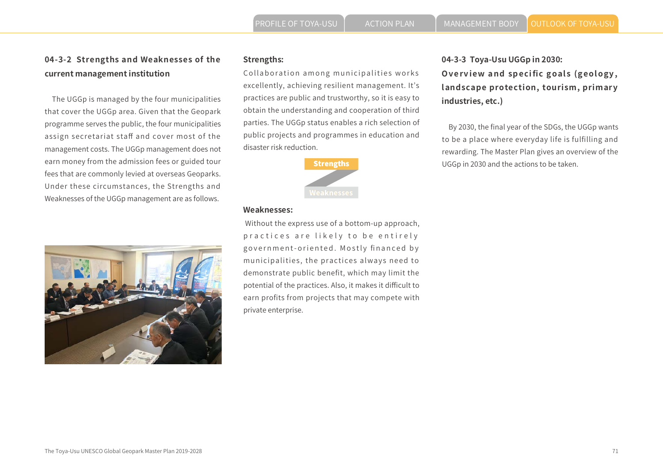# **Strengths:**

Collaboration among municipalities works excellently, achieving resilient management. It's practices are public and trustworthy, so it is easy to obtain the understanding and cooperation of third parties. The UGGp status enables a rich selection of public projects and programmes in education and disaster risk reduction.



#### **Weaknesses:**

 Without the express use of a bottom-up approach, practices are likely to be entirely government-oriented. Mostly financed by municipalities, the practices always need to demonstrate public benefit, which may limit the potential of the practices. Also, it makes it difficult to earn profits from projects that may compete with private enterprise.

# **04-3-3 Toya-Usu UGGp in 2030: Overview and specific goals (geology, landscape protection, tourism, primary industries, etc.)**

 By 2030, the final year of the SDGs, the UGGp wants to be a place where everyday life is fulfilling and rewarding. The Master Plan gives an overview of the **Strengths Example 2018** UGGp in 2030 and the actions to be taken.



**04-3-2 Strengths and Weaknesses of the** 

 The UGGp is managed by the four municipalities that cover the UGGp area. Given that the Geopark programme serves the public, the four municipalities assign secretariat staff and cover most of the management costs. The UGGp management does not earn money from the admission fees or guided tour fees that are commonly levied at overseas Geoparks. Under these circumstances, the Strengths and Weaknesses of the UGGp management are as follows.

**current management institution**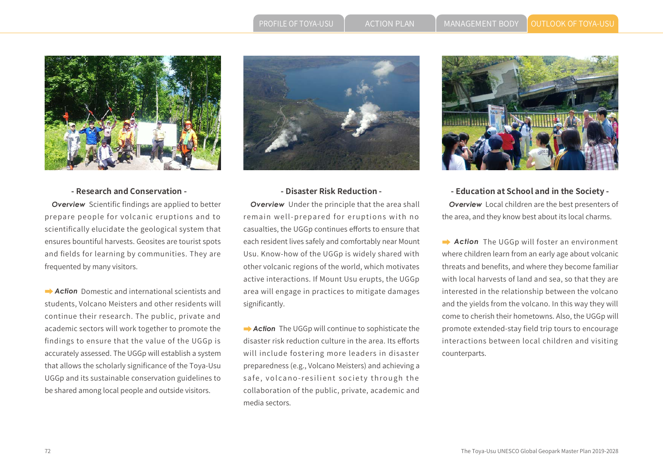

#### **- Research and Conservation -**

*Overview* Scientific findings are applied to better prepare people for volcanic eruptions and to scientifically elucidate the geological system that ensures bountiful harvests. Geosites are tourist spots and fields for learning by communities. They are frequented by many visitors.

**→ Action** Domestic and international scientists and students, Volcano Meisters and other residents will continue their research. The public, private and academic sectors will work together to promote the findings to ensure that the value of the UGGp is accurately assessed. The UGGp will establish a system that allows the scholarly significance of the Toya-Usu UGGp and its sustainable conservation guidelines to be shared among local people and outside visitors.



#### **- Disaster Risk Reduction -**

*Overview* Under the principle that the area shall remain well-prepared for eruptions with no casualties, the UGGp continues efforts to ensure that each resident lives safely and comfortably near Mount Usu. Know-how of the UGGp is widely shared with other volcanic regions of the world, which motivates active interactions. If Mount Usu erupts, the UGGp area will engage in practices to mitigate damages significantly.

**→ Action** The UGGp will continue to sophisticate the disaster risk reduction culture in the area. Its efforts will include fostering more leaders in disaster preparedness (e.g., Volcano Meisters) and achieving a safe, volcano-resilient society through the collaboration of the public, private, academic and media sectors.



**- Education at School and in the Society -** *Overview* Local children are the best presenters of the area, and they know best about its local charms.

**→ Action** The UGGp will foster an environment where children learn from an early age about volcanic threats and benefits, and where they become familiar with local harvests of land and sea, so that they are interested in the relationship between the volcano and the yields from the volcano. In this way they will come to cherish their hometowns. Also, the UGGp will promote extended-stay field trip tours to encourage interactions between local children and visiting counterparts.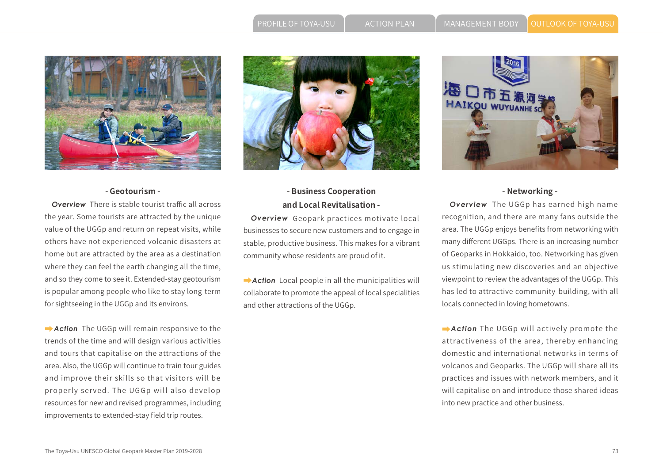PROFILE OF TOYA-USU  $\left.\left.\right| \right.$  ACTION PLAN  $\left.\left.\right|$  MANAGEMENT BODY  $\left.\right|$  OUTLOOK OF TOYA-USU





#### **- Geotourism -**

*Overview* There is stable tourist traffic all across the year. Some tourists are attracted by the unique value of the UGGp and return on repeat visits, while others have not experienced volcanic disasters at home but are attracted by the area as a destination where they can feel the earth changing all the time, and so they come to see it. Extended-stay geotourism is popular among people who like to stay long-term for sightseeing in the UGGp and its environs.

 *Action* The UGGp will remain responsive to the trends of the time and will design various activities and tours that capitalise on the attractions of the area. Also, the UGGp will continue to train tour guides and improve their skills so that visitors will be properly served. The UGGp will also develop resources for new and revised programmes, including improvements to extended-stay field trip routes.

## **- Business Cooperation and Local Revitalisation -**

*Overview* Geopark practices motivate local businesses to secure new customers and to engage in stable, productive business. This makes for a vibrant community whose residents are proud of it.

 *Action* Local people in all the municipalities will collaborate to promote the appeal of local specialities and other attractions of the UGGp.



#### **- Networking -**

*Overview* The UGGp has earned high name recognition, and there are many fans outside the area. The UGGp enjoys benefits from networking with many different UGGps. There is an increasing number of Geoparks in Hokkaido, too. Networking has given us stimulating new discoveries and an objective viewpoint to review the advantages of the UGGp. This has led to attractive community-building, with all locals connected in loving hometowns.

 *Action* The UGGp will actively promote the attractiveness of the area, thereby enhancing domestic and international networks in terms of volcanos and Geoparks. The UGGp will share all its practices and issues with network members, and it will capitalise on and introduce those shared ideas into new practice and other business.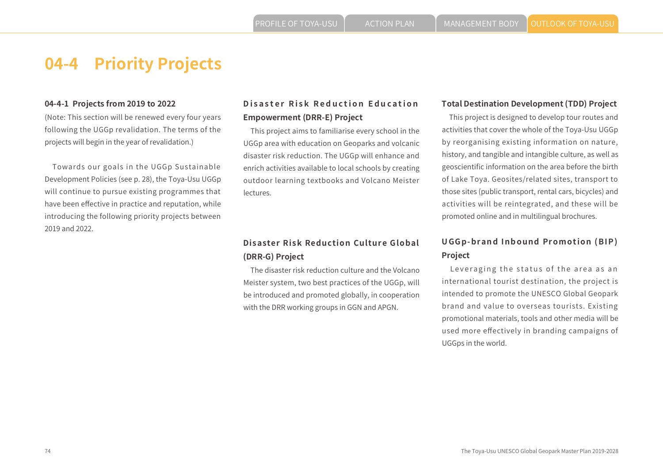#### **04-4-1 Projects from 2019 to 2022**

(Note: This section will be renewed every four years following the UGGp revalidation. The terms of the projects will begin in the year of revalidation.)

 Towards our goals in the UGGp Sustainable Development Policies (see p. 28), the Toya-Usu UGGp will continue to pursue existing programmes that have been effective in practice and reputation, while introducing the following priority projects between 2019 and 2022.

### **Disaster Risk Reduction Education Empowerment (DRR-E) Project**

 This project aims to familiarise every school in the UGGp area with education on Geoparks and volcanic disaster risk reduction. The UGGp will enhance and enrich activities available to local schools by creating outdoor learning textbooks and Volcano Meister lectures.

## **Disaster Risk Reduction Culture Global (DRR-G) Project**

 The disaster risk reduction culture and the Volcano Meister system, two best practices of the UGGp, will be introduced and promoted globally, in cooperation with the DRR working groups in GGN and APGN.

#### **Total Destination Development (TDD) Project**

 This project is designed to develop tour routes and activities that cover the whole of the Toya-Usu UGGp by reorganising existing information on nature, history, and tangible and intangible culture, as well as geoscientific information on the area before the birth of Lake Toya. Geosites/related sites, transport to those sites (public transport, rental cars, bicycles) and activities will be reintegrated, and these will be promoted online and in multilingual brochures.

## **UGGp-brand Inbound Promotion (BIP) Project**

 Leveraging the status of the area as an international tourist destination, the project is intended to promote the UNESCO Global Geopark brand and value to overseas tourists. Existing promotional materials, tools and other media will be used more effectively in branding campaigns of UGGps in the world.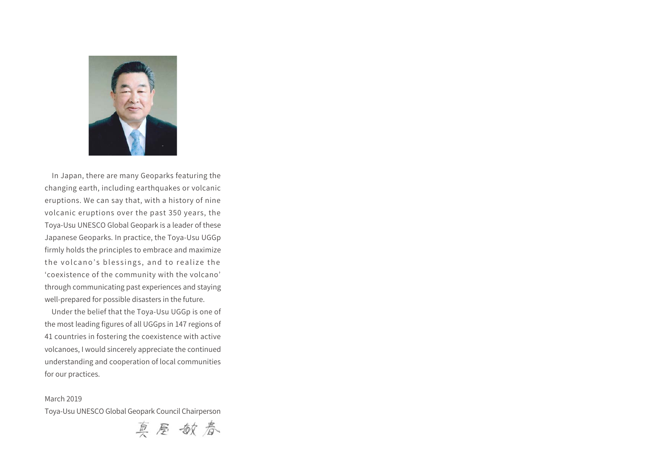

 In Japan, there are many Geoparks featuring the changing earth, including earthquakes or volcanic eruptions. We can say that, with a history of nine volcanic eruptions over the past 350 years, the Toya-Usu UNESCO Global Geopark is a leader of these Japanese Geoparks. In practice, the Toya-Usu UGGp firmly holds the principles to embrace and maximize the volcano's blessings, and to realize the 'coexistence of the community with the volcano' through communicating past experiences and staying well-prepared for possible disasters in the future.

 Under the belief that the Toya-Usu UGGp is one of the most leading figures of all UGGps in 147 regions of 41 countries in fostering the coexistence with active volcanoes, I would sincerely appreciate the continued understanding and cooperation of local communities for our practices.

#### March 2019

Toya-Usu UNESCO Global Geopark Council Chairperson

真屋敏春